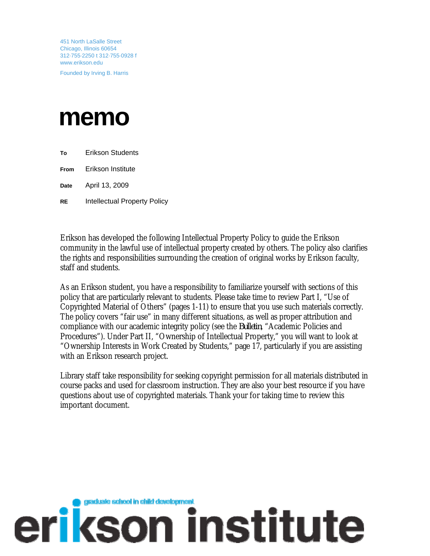451 North LaSalle Street Chicago, Illinois 60654 312·755·2250 t 312·755·0928 f www.erikson.edu

Founded by Irving B. Harris

# **memo**

**To** Erikson Students

**From** Erikson Institute

**Date** April 13, 2009

**RE** Intellectual Property Policy

Erikson has developed the following Intellectual Property Policy to guide the Erikson community in the lawful use of intellectual property created by others. The policy also clarifies the rights and responsibilities surrounding the creation of original works by Erikson faculty, staff and students.

As an Erikson student, you have a responsibility to familiarize yourself with sections of this policy that are particularly relevant to students. Please take time to review Part I, "Use of Copyrighted Material of Others" (pages 1-11) to ensure that you use such materials correctly. The policy covers "fair use" in many different situations, as well as proper attribution and compliance with our academic integrity policy (see the *Bulletin*, "Academic Policies and Procedures"). Under Part II, "Ownership of Intellectual Property," you will want to look at "Ownership Interests in Work Created by Students," page 17, particularly if you are assisting with an Erikson research project.

Library staff take responsibility for seeking copyright permission for all materials distributed in course packs and used for classroom instruction. They are also your best resource if you have questions about use of copyrighted materials. Thank your for taking time to review this important document.

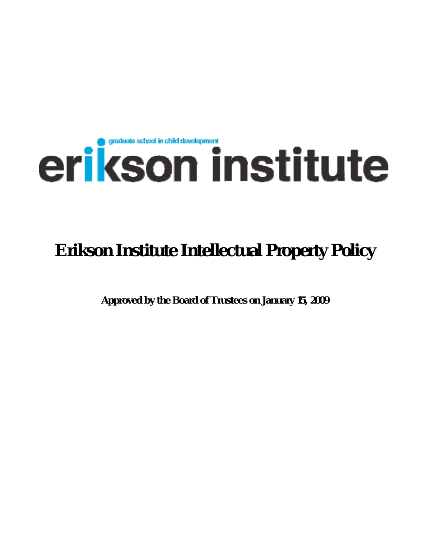# erikson institute

# **Erikson Institute Intellectual Property Policy**

**Approved by the Board of Trustees on January 15, 2009**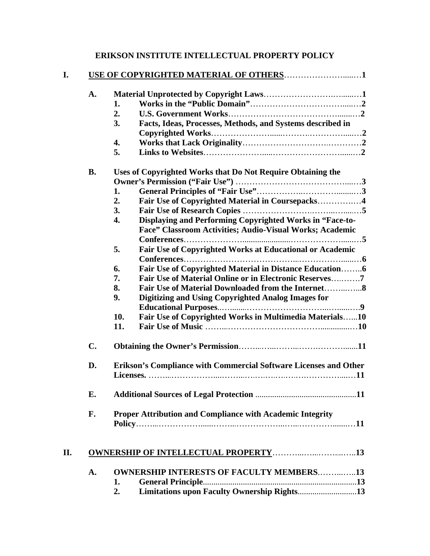| <b>ERIKSON INSTITUTE INTELLECTUAL PROPERTY POLICY</b> |  |  |
|-------------------------------------------------------|--|--|
|-------------------------------------------------------|--|--|

| A.        |                                                                  |                                                                                                                      |  |
|-----------|------------------------------------------------------------------|----------------------------------------------------------------------------------------------------------------------|--|
|           | 1.                                                               |                                                                                                                      |  |
|           | 2.                                                               |                                                                                                                      |  |
|           | 3.                                                               | Facts, Ideas, Processes, Methods, and Systems described in                                                           |  |
|           |                                                                  |                                                                                                                      |  |
|           | 4.                                                               |                                                                                                                      |  |
|           | 5.                                                               |                                                                                                                      |  |
| <b>B.</b> |                                                                  | Uses of Copyrighted Works that Do Not Require Obtaining the                                                          |  |
|           |                                                                  |                                                                                                                      |  |
|           | 1.                                                               |                                                                                                                      |  |
|           | 2.                                                               | Fair Use of Copyrighted Material in Coursepacks4                                                                     |  |
|           | 3.                                                               |                                                                                                                      |  |
|           | $\overline{4}$ .                                                 | Displaying and Performing Copyrighted Works in "Face-to-<br>Face" Classroom Activities; Audio-Visual Works; Academic |  |
|           |                                                                  |                                                                                                                      |  |
|           | 5.                                                               | Fair Use of Copyrighted Works at Educational or Academic                                                             |  |
|           | 6.                                                               | Fair Use of Copyrighted Material in Distance Education6                                                              |  |
|           | 7.                                                               | Fair Use of Material Online or in Electronic Reserves7                                                               |  |
|           | 8.                                                               |                                                                                                                      |  |
|           | 9.                                                               | Digitizing and Using Copyrighted Analog Images for                                                                   |  |
|           | 10.                                                              | Fair Use of Copyrighted Works in Multimedia Materials10                                                              |  |
|           | 11.                                                              |                                                                                                                      |  |
| C.        |                                                                  |                                                                                                                      |  |
| D.        | Erikson's Compliance with Commercial Software Licenses and Other |                                                                                                                      |  |
|           |                                                                  |                                                                                                                      |  |
| Е.        |                                                                  |                                                                                                                      |  |
| F.        |                                                                  | Proper Attribution and Compliance with Academic Integrity                                                            |  |
|           |                                                                  |                                                                                                                      |  |
|           |                                                                  |                                                                                                                      |  |
| A.        |                                                                  | <b>OWNERSHIP INTERESTS OF FACULTY MEMBERS13</b>                                                                      |  |
|           | 1.                                                               |                                                                                                                      |  |
|           | 2.                                                               | Limitations upon Faculty Ownership Rights13                                                                          |  |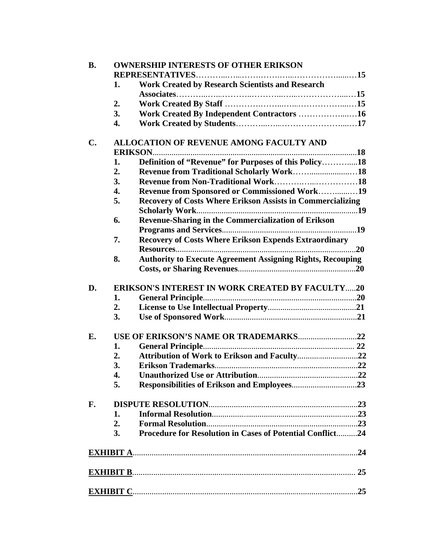| <b>B.</b>      |    | <b>OWNERSHIP INTERESTS OF OTHER ERIKSON</b>                       |     |  |  |
|----------------|----|-------------------------------------------------------------------|-----|--|--|
|                |    |                                                                   |     |  |  |
|                | 1. | <b>Work Created by Research Scientists and Research</b>           |     |  |  |
|                |    |                                                                   |     |  |  |
|                | 2. |                                                                   |     |  |  |
|                | 3. | Work Created By Independent Contractors 16                        |     |  |  |
|                | 4. |                                                                   |     |  |  |
| $\mathbf{C}$ . |    | <b>ALLOCATION OF REVENUE AMONG FACULTY AND</b>                    |     |  |  |
|                |    |                                                                   |     |  |  |
|                | 1. | Definition of "Revenue" for Purposes of this Policy18             |     |  |  |
|                | 2. |                                                                   |     |  |  |
|                | 3. |                                                                   |     |  |  |
|                | 4. | Revenue from Sponsored or Commissioned Work19                     |     |  |  |
|                | 5. | <b>Recovery of Costs Where Erikson Assists in Commercializing</b> |     |  |  |
|                |    |                                                                   |     |  |  |
|                | 6. | Revenue-Sharing in the Commercialization of Erikson               |     |  |  |
|                |    |                                                                   |     |  |  |
|                | 7. | <b>Recovery of Costs Where Erikson Expends Extraordinary</b>      |     |  |  |
|                |    |                                                                   |     |  |  |
|                | 8. | <b>Authority to Execute Agreement Assigning Rights, Recouping</b> |     |  |  |
|                |    |                                                                   |     |  |  |
| D.             |    | <b>ERIKSON'S INTEREST IN WORK CREATED BY FACULTY20</b>            |     |  |  |
|                | 1. |                                                                   |     |  |  |
|                | 2. |                                                                   |     |  |  |
|                | 3. |                                                                   |     |  |  |
| Е.             |    |                                                                   |     |  |  |
|                | 1. |                                                                   |     |  |  |
|                | 2. |                                                                   |     |  |  |
|                | 3. |                                                                   |     |  |  |
|                | 4. |                                                                   |     |  |  |
|                | 5. |                                                                   |     |  |  |
| F.             |    |                                                                   |     |  |  |
|                | 1. |                                                                   |     |  |  |
|                | 2. |                                                                   |     |  |  |
|                | 3. | Procedure for Resolution in Cases of Potential Conflict24         |     |  |  |
|                |    |                                                                   |     |  |  |
|                |    |                                                                   |     |  |  |
|                |    |                                                                   |     |  |  |
|                |    |                                                                   | .25 |  |  |
|                |    |                                                                   |     |  |  |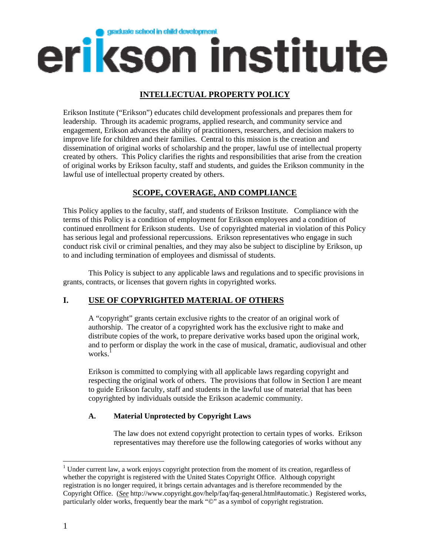

# **INTELLECTUAL PROPERTY POLICY**

Erikson Institute ("Erikson") educates child development professionals and prepares them for leadership. Through its academic programs, applied research, and community service and engagement, Erikson advances the ability of practitioners, researchers, and decision makers to improve life for children and their families. Central to this mission is the creation and dissemination of original works of scholarship and the proper, lawful use of intellectual property created by others. This Policy clarifies the rights and responsibilities that arise from the creation of original works by Erikson faculty, staff and students, and guides the Erikson community in the lawful use of intellectual property created by others.

# **SCOPE, COVERAGE, AND COMPLIANCE**

This Policy applies to the faculty, staff, and students of Erikson Institute. Compliance with the terms of this Policy is a condition of employment for Erikson employees and a condition of continued enrollment for Erikson students. Use of copyrighted material in violation of this Policy has serious legal and professional repercussions. Erikson representatives who engage in such conduct risk civil or criminal penalties, and they may also be subject to discipline by Erikson, up to and including termination of employees and dismissal of students.

This Policy is subject to any applicable laws and regulations and to specific provisions in grants, contracts, or licenses that govern rights in copyrighted works.

# **I. USE OF COPYRIGHTED MATERIAL OF OTHERS**

A "copyright" grants certain exclusive rights to the creator of an original work of authorship. The creator of a copyrighted work has the exclusive right to make and distribute copies of the work, to prepare derivative works based upon the original work, and to perform or display the work in the case of musical, dramatic, audiovisual and other works.

Erikson is committed to complying with all applicable laws regarding copyright and respecting the original work of others. The provisions that follow in Section I are meant to guide Erikson faculty, staff and students in the lawful use of material that has been copyrighted by individuals outside the Erikson academic community.

# **A. Material Unprotected by Copyright Laws**

The law does not extend copyright protection to certain types of works. Erikson representatives may therefore use the following categories of works without any

 $\overline{a}$ 

<sup>&</sup>lt;sup>1</sup> Under current law, a work enjoys copyright protection from the moment of its creation, regardless of whether the copyright is registered with the United States Copyright Office. Although copyright registration is no longer required, it brings certain advantages and is therefore recommended by the Copyright Office. (*See* http://www.copyright.gov/help/faq/faq-general.html#automatic.) Registered works, particularly older works, frequently bear the mark "©" as a symbol of copyright registration.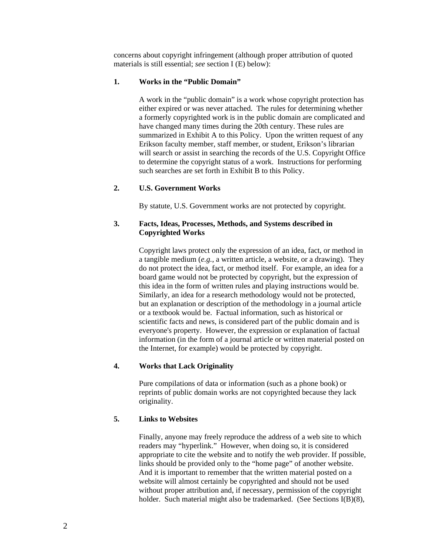concerns about copyright infringement (although proper attribution of quoted materials is still essential; *see* section I (E) below):

#### **1. Works in the "Public Domain"**

A work in the "public domain" is a work whose copyright protection has either expired or was never attached. The rules for determining whether a formerly copyrighted work is in the public domain are complicated and have changed many times during the 20th century. These rules are summarized in Exhibit A to this Policy. Upon the written request of any Erikson faculty member, staff member, or student, Erikson's librarian will search or assist in searching the records of the U.S. Copyright Office to determine the copyright status of a work. Instructions for performing such searches are set forth in Exhibit B to this Policy.

#### **2. U.S. Government Works**

By statute, U.S. Government works are not protected by copyright.

## **3. Facts, Ideas, Processes, Methods, and Systems described in Copyrighted Works**

Copyright laws protect only the expression of an idea, fact, or method in a tangible medium (*e.g.*, a written article, a website, or a drawing). They do not protect the idea, fact, or method itself. For example, an idea for a board game would not be protected by copyright, but the expression of this idea in the form of written rules and playing instructions would be. Similarly, an idea for a research methodology would not be protected, but an explanation or description of the methodology in a journal article or a textbook would be. Factual information, such as historical or scientific facts and news, is considered part of the public domain and is everyone's property. However, the expression or explanation of factual information (in the form of a journal article or written material posted on the Internet, for example) would be protected by copyright.

# **4. Works that Lack Originality**

Pure compilations of data or information (such as a phone book) or reprints of public domain works are not copyrighted because they lack originality.

# **5. Links to Websites**

Finally, anyone may freely reproduce the address of a web site to which readers may "hyperlink." However, when doing so, it is considered appropriate to cite the website and to notify the web provider. If possible, links should be provided only to the "home page" of another website. And it is important to remember that the written material posted on a website will almost certainly be copyrighted and should not be used without proper attribution and, if necessary, permission of the copyright holder. Such material might also be trademarked. (See Sections I(B)(8),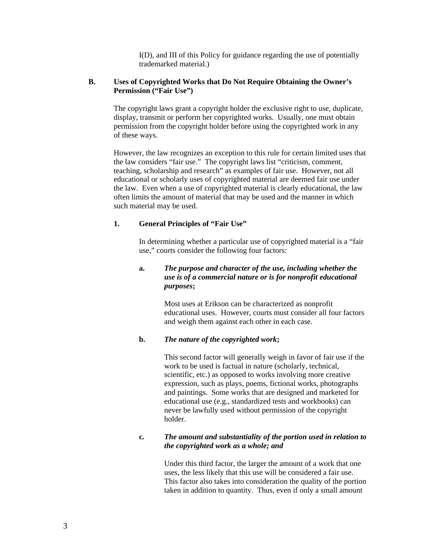I(D), and III of this Policy for guidance regarding the use of potentially trademarked material.)

#### **B. Uses of Copyrighted Works that Do Not Require Obtaining the Owner's Permission ("Fair Use")**

The copyright laws grant a copyright holder the exclusive right to use, duplicate, display, transmit or perform her copyrighted works. Usually, one must obtain permission from the copyright holder before using the copyrighted work in any of these ways.

However, the law recognizes an exception to this rule for certain limited uses that the law considers "fair use." The copyright laws list "criticism, comment, teaching, scholarship and research" as examples of fair use. However, not all educational or scholarly uses of copyrighted material are deemed fair use under the law. Even when a use of copyrighted material is clearly educational, the law often limits the amount of material that may be used and the manner in which such material may be used.

# **1. General Principles of "Fair Use"**

In determining whether a particular use of copyrighted material is a "fair use," courts consider the following four factors:

# **a.** *The purpose and character of the use, including whether the use is of a commercial nature or is for nonprofit educational purposes***;**

Most uses at Erikson can be characterized as nonprofit educational uses. However, courts must consider all four factors and weigh them against each other in each case.

#### **b.** *The nature of the copyrighted work***;**

This second factor will generally weigh in favor of fair use if the work to be used is factual in nature (scholarly, technical, scientific, etc.) as opposed to works involving more creative expression, such as plays, poems, fictional works, photographs and paintings. Some works that are designed and marketed for educational use (e.g., standardized tests and workbooks) can never be lawfully used without permission of the copyright holder.

#### **c.** *The amount and substantiality of the portion used in relation to the copyrighted work as a whole; and*

Under this third factor, the larger the amount of a work that one uses, the less likely that this use will be considered a fair use. This factor also takes into consideration the quality of the portion taken in addition to quantity. Thus, even if only a small amount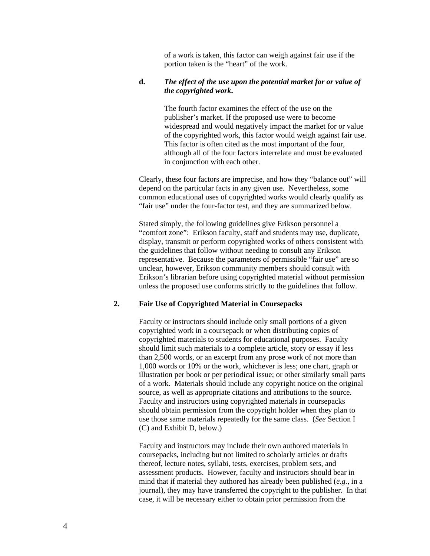of a work is taken, this factor can weigh against fair use if the portion taken is the "heart" of the work.

#### **d.** *The effect of the use upon the potential market for or value of the copyrighted work***.**

The fourth factor examines the effect of the use on the publisher's market. If the proposed use were to become widespread and would negatively impact the market for or value of the copyrighted work, this factor would weigh against fair use. This factor is often cited as the most important of the four, although all of the four factors interrelate and must be evaluated in conjunction with each other.

Clearly, these four factors are imprecise, and how they "balance out" will depend on the particular facts in any given use. Nevertheless, some common educational uses of copyrighted works would clearly qualify as "fair use" under the four-factor test, and they are summarized below.

Stated simply, the following guidelines give Erikson personnel a "comfort zone": Erikson faculty, staff and students may use, duplicate, display, transmit or perform copyrighted works of others consistent with the guidelines that follow without needing to consult any Erikson representative. Because the parameters of permissible "fair use" are so unclear, however, Erikson community members should consult with Erikson's librarian before using copyrighted material without permission unless the proposed use conforms strictly to the guidelines that follow.

#### **2. Fair Use of Copyrighted Material in Coursepacks**

Faculty or instructors should include only small portions of a given copyrighted work in a coursepack or when distributing copies of copyrighted materials to students for educational purposes. Faculty should limit such materials to a complete article, story or essay if less than 2,500 words, or an excerpt from any prose work of not more than 1,000 words or 10% or the work, whichever is less; one chart, graph or illustration per book or per periodical issue; or other similarly small parts of a work. Materials should include any copyright notice on the original source, as well as appropriate citations and attributions to the source. Faculty and instructors using copyrighted materials in coursepacks should obtain permission from the copyright holder when they plan to use those same materials repeatedly for the same class. (*See* Section I (C) and Exhibit D, below.)

Faculty and instructors may include their own authored materials in coursepacks, including but not limited to scholarly articles or drafts thereof, lecture notes, syllabi, tests, exercises, problem sets, and assessment products. However, faculty and instructors should bear in mind that if material they authored has already been published (*e.g.*, in a journal), they may have transferred the copyright to the publisher. In that case, it will be necessary either to obtain prior permission from the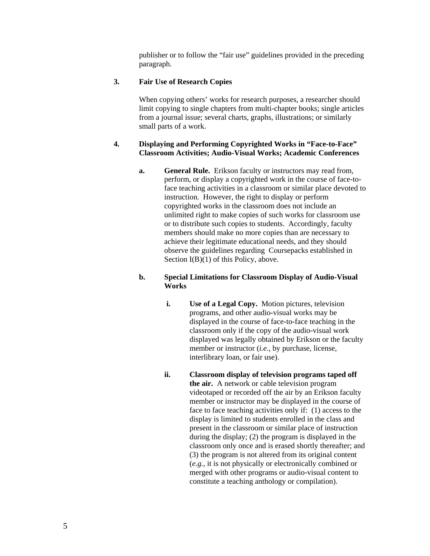publisher or to follow the "fair use" guidelines provided in the preceding paragraph.

# **3. Fair Use of Research Copies**

When copying others' works for research purposes, a researcher should limit copying to single chapters from multi-chapter books; single articles from a journal issue; several charts, graphs, illustrations; or similarly small parts of a work.

# **4. Displaying and Performing Copyrighted Works in "Face-to-Face" Classroom Activities; Audio-Visual Works; Academic Conferences**

**a. General Rule.** Erikson faculty or instructors may read from, perform, or display a copyrighted work in the course of face-toface teaching activities in a classroom or similar place devoted to instruction. However, the right to display or perform copyrighted works in the classroom does not include an unlimited right to make copies of such works for classroom use or to distribute such copies to students. Accordingly, faculty members should make no more copies than are necessary to achieve their legitimate educational needs, and they should observe the guidelines regarding Coursepacks established in Section I(B)(1) of this Policy, above.

# **b. Special Limitations for Classroom Display of Audio-Visual Works**

- **i. Use of a Legal Copy.** Motion pictures, television programs, and other audio-visual works may be displayed in the course of face-to-face teaching in the classroom only if the copy of the audio-visual work displayed was legally obtained by Erikson or the faculty member or instructor (*i.e.*, by purchase, license, interlibrary loan, or fair use).
- **ii. Classroom display of television programs taped off the air.** A network or cable television program videotaped or recorded off the air by an Erikson faculty member or instructor may be displayed in the course of face to face teaching activities only if: (1) access to the display is limited to students enrolled in the class and present in the classroom or similar place of instruction during the display; (2) the program is displayed in the classroom only once and is erased shortly thereafter; and (3) the program is not altered from its original content (*e.g.*, it is not physically or electronically combined or merged with other programs or audio-visual content to constitute a teaching anthology or compilation).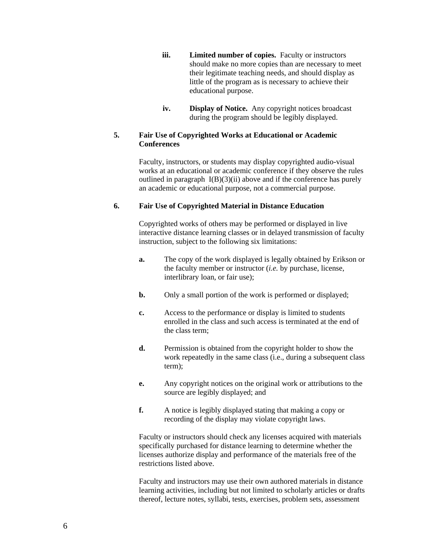- **iii. Limited number of copies.** Faculty or instructors should make no more copies than are necessary to meet their legitimate teaching needs, and should display as little of the program as is necessary to achieve their educational purpose.
- **iv. Display of Notice.** Any copyright notices broadcast during the program should be legibly displayed.

# **5. Fair Use of Copyrighted Works at Educational or Academic Conferences**

Faculty, instructors, or students may display copyrighted audio-visual works at an educational or academic conference if they observe the rules outlined in paragraph  $I(B)(3)(ii)$  above and if the conference has purely an academic or educational purpose, not a commercial purpose.

# **6. Fair Use of Copyrighted Material in Distance Education**

Copyrighted works of others may be performed or displayed in live interactive distance learning classes or in delayed transmission of faculty instruction, subject to the following six limitations:

- **a.** The copy of the work displayed is legally obtained by Erikson or the faculty member or instructor (*i.e.* by purchase, license, interlibrary loan, or fair use);
- **b.** Only a small portion of the work is performed or displayed;
- **c.** Access to the performance or display is limited to students enrolled in the class and such access is terminated at the end of the class term;
- **d.** Permission is obtained from the copyright holder to show the work repeatedly in the same class (i.e., during a subsequent class term);
- **e.** Any copyright notices on the original work or attributions to the source are legibly displayed; and
- **f.** A notice is legibly displayed stating that making a copy or recording of the display may violate copyright laws.

Faculty or instructors should check any licenses acquired with materials specifically purchased for distance learning to determine whether the licenses authorize display and performance of the materials free of the restrictions listed above.

Faculty and instructors may use their own authored materials in distance learning activities, including but not limited to scholarly articles or drafts thereof, lecture notes, syllabi, tests, exercises, problem sets, assessment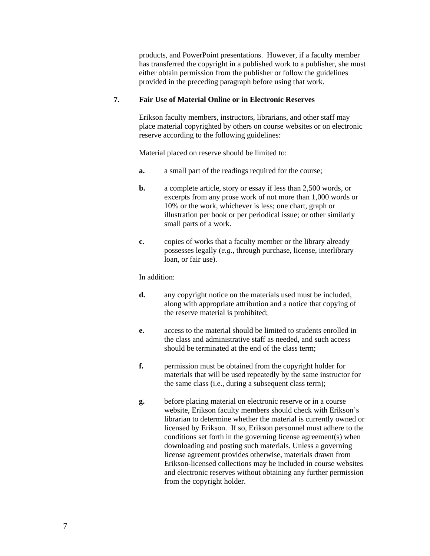products, and PowerPoint presentations. However, if a faculty member has transferred the copyright in a published work to a publisher, she must either obtain permission from the publisher or follow the guidelines provided in the preceding paragraph before using that work.

#### **7. Fair Use of Material Online or in Electronic Reserves**

Erikson faculty members, instructors, librarians, and other staff may place material copyrighted by others on course websites or on electronic reserve according to the following guidelines:

Material placed on reserve should be limited to:

- **a.** a small part of the readings required for the course;
- **b.** a complete article, story or essay if less than 2,500 words, or excerpts from any prose work of not more than 1,000 words or 10% or the work, whichever is less; one chart, graph or illustration per book or per periodical issue; or other similarly small parts of a work.
- **c.** copies of works that a faculty member or the library already possesses legally (*e.g.*, through purchase, license, interlibrary loan, or fair use).

#### In addition:

- **d.** any copyright notice on the materials used must be included, along with appropriate attribution and a notice that copying of the reserve material is prohibited;
- **e.** access to the material should be limited to students enrolled in the class and administrative staff as needed, and such access should be terminated at the end of the class term;
- **f.** permission must be obtained from the copyright holder for materials that will be used repeatedly by the same instructor for the same class (i.e., during a subsequent class term);
- **g.** before placing material on electronic reserve or in a course website, Erikson faculty members should check with Erikson's librarian to determine whether the material is currently owned or licensed by Erikson. If so, Erikson personnel must adhere to the conditions set forth in the governing license agreement(s) when downloading and posting such materials. Unless a governing license agreement provides otherwise, materials drawn from Erikson-licensed collections may be included in course websites and electronic reserves without obtaining any further permission from the copyright holder.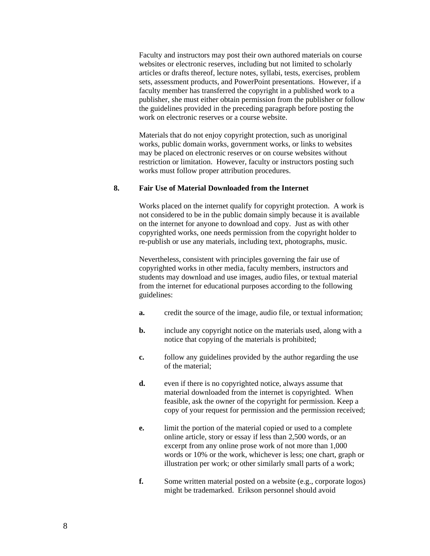Faculty and instructors may post their own authored materials on course websites or electronic reserves, including but not limited to scholarly articles or drafts thereof, lecture notes, syllabi, tests, exercises, problem sets, assessment products, and PowerPoint presentations. However, if a faculty member has transferred the copyright in a published work to a publisher, she must either obtain permission from the publisher or follow the guidelines provided in the preceding paragraph before posting the work on electronic reserves or a course website.

Materials that do not enjoy copyright protection, such as unoriginal works, public domain works, government works, or links to websites may be placed on electronic reserves or on course websites without restriction or limitation. However, faculty or instructors posting such works must follow proper attribution procedures.

#### **8. Fair Use of Material Downloaded from the Internet**

Works placed on the internet qualify for copyright protection. A work is not considered to be in the public domain simply because it is available on the internet for anyone to download and copy. Just as with other copyrighted works, one needs permission from the copyright holder to re-publish or use any materials, including text, photographs, music.

Nevertheless, consistent with principles governing the fair use of copyrighted works in other media, faculty members, instructors and students may download and use images, audio files, or textual material from the internet for educational purposes according to the following guidelines:

- **a.** credit the source of the image, audio file, or textual information;
- **b.** include any copyright notice on the materials used, along with a notice that copying of the materials is prohibited;
- **c.** follow any guidelines provided by the author regarding the use of the material;
- **d.** even if there is no copyrighted notice, always assume that material downloaded from the internet is copyrighted. When feasible, ask the owner of the copyright for permission. Keep a copy of your request for permission and the permission received;
- **e.** limit the portion of the material copied or used to a complete online article, story or essay if less than 2,500 words, or an excerpt from any online prose work of not more than 1,000 words or 10% or the work, whichever is less; one chart, graph or illustration per work; or other similarly small parts of a work;
- **f.** Some written material posted on a website (e.g., corporate logos) might be trademarked. Erikson personnel should avoid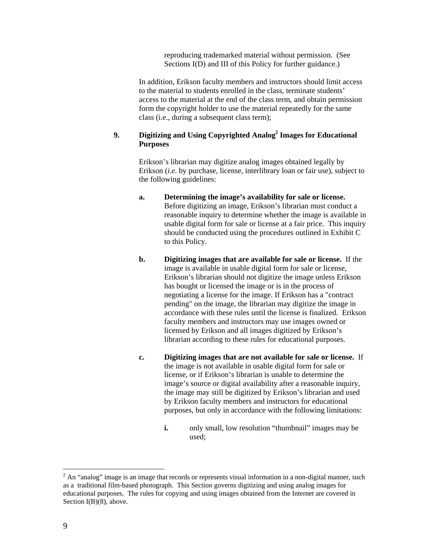reproducing trademarked material without permission. (See Sections I(D) and III of this Policy for further guidance.)

In addition, Erikson faculty members and instructors should limit access to the material to students enrolled in the class, terminate students' access to the material at the end of the class term, and obtain permission form the copyright holder to use the material repeatedly for the same class (i.e., during a subsequent class term);

# 9. **Digitizing and Using Copyrighted Analog<sup>2</sup> Images for Educational Purposes**

Erikson's librarian may digitize analog images obtained legally by Erikson (*i.e.* by purchase, license, interlibrary loan or fair use), subject to the following guidelines:

- **a. Determining the image's availability for sale or license.** Before digitizing an image, Erikson's librarian must conduct a reasonable inquiry to determine whether the image is available in usable digital form for sale or license at a fair price. This inquiry should be conducted using the procedures outlined in Exhibit C to this Policy.
- **b. Digitizing images that are available for sale or license.** If the image is available in usable digital form for sale or license, Erikson's librarian should not digitize the image unless Erikson has bought or licensed the image or is in the process of negotiating a license for the image. If Erikson has a "contract pending" on the image, the librarian may digitize the image in accordance with these rules until the license is finalized. Erikson faculty members and instructors may use images owned or licensed by Erikson and all images digitized by Erikson's librarian according to these rules for educational purposes.
- **c. Digitizing images that are not available for sale or license.** If the image is not available in usable digital form for sale or license, or if Erikson's librarian is unable to determine the image's source or digital availability after a reasonable inquiry, the image may still be digitized by Erikson's librarian and used by Erikson faculty members and instructors for educational purposes, but only in accordance with the following limitations:
	- **i.** only small, low resolution "thumbnail" images may be used;

 $\overline{a}$ 

 $2^{2}$  An "analog" image is an image that records or represents visual information in a non-digital manner, such as a traditional film-based photograph. This Section governs digitizing and using analog images for educational purposes. The rules for copying and using images obtained from the Internet are covered in Section I(B)(8), above.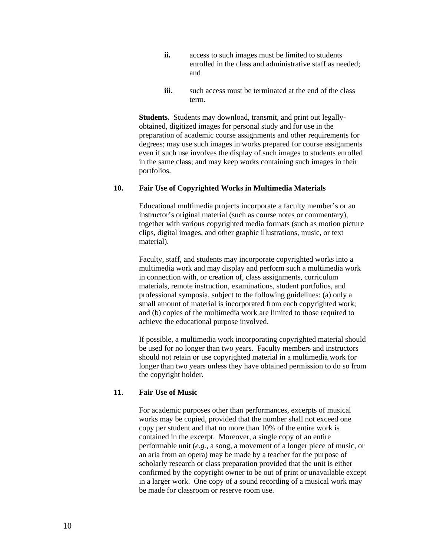- **ii.** access to such images must be limited to students enrolled in the class and administrative staff as needed; and
- **iii.** such access must be terminated at the end of the class term.

**Students.** Students may download, transmit, and print out legallyobtained, digitized images for personal study and for use in the preparation of academic course assignments and other requirements for degrees; may use such images in works prepared for course assignments even if such use involves the display of such images to students enrolled in the same class; and may keep works containing such images in their portfolios.

#### **10. Fair Use of Copyrighted Works in Multimedia Materials**

Educational multimedia projects incorporate a faculty member's or an instructor's original material (such as course notes or commentary), together with various copyrighted media formats (such as motion picture clips, digital images, and other graphic illustrations, music, or text material).

Faculty, staff, and students may incorporate copyrighted works into a multimedia work and may display and perform such a multimedia work in connection with, or creation of, class assignments, curriculum materials, remote instruction, examinations, student portfolios, and professional symposia, subject to the following guidelines: (a) only a small amount of material is incorporated from each copyrighted work; and (b) copies of the multimedia work are limited to those required to achieve the educational purpose involved.

If possible, a multimedia work incorporating copyrighted material should be used for no longer than two years. Faculty members and instructors should not retain or use copyrighted material in a multimedia work for longer than two years unless they have obtained permission to do so from the copyright holder.

# **11. Fair Use of Music**

For academic purposes other than performances, excerpts of musical works may be copied, provided that the number shall not exceed one copy per student and that no more than 10% of the entire work is contained in the excerpt. Moreover, a single copy of an entire performable unit (*e.g.*, a song, a movement of a longer piece of music, or an aria from an opera) may be made by a teacher for the purpose of scholarly research or class preparation provided that the unit is either confirmed by the copyright owner to be out of print or unavailable except in a larger work. One copy of a sound recording of a musical work may be made for classroom or reserve room use.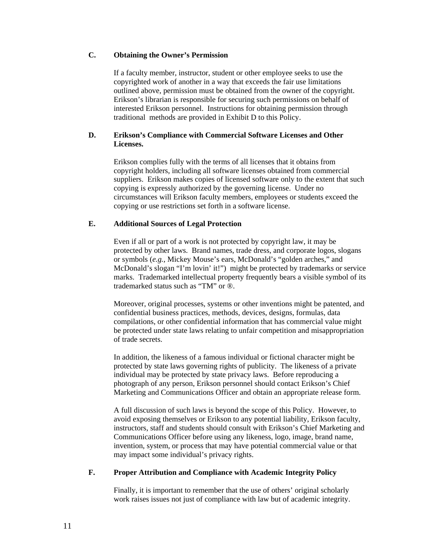# **C. Obtaining the Owner's Permission**

If a faculty member, instructor, student or other employee seeks to use the copyrighted work of another in a way that exceeds the fair use limitations outlined above, permission must be obtained from the owner of the copyright. Erikson's librarian is responsible for securing such permissions on behalf of interested Erikson personnel.Instructions for obtaining permission through traditional methods are provided in Exhibit D to this Policy.

# **D. Erikson's Compliance with Commercial Software Licenses and Other Licenses.**

Erikson complies fully with the terms of all licenses that it obtains from copyright holders, including all software licenses obtained from commercial suppliers. Erikson makes copies of licensed software only to the extent that such copying is expressly authorized by the governing license. Under no circumstances will Erikson faculty members, employees or students exceed the copying or use restrictions set forth in a software license.

# **E. Additional Sources of Legal Protection**

Even if all or part of a work is not protected by copyright law, it may be protected by other laws. Brand names, trade dress, and corporate logos, slogans or symbols (*e.g.*, Mickey Mouse's ears, McDonald's "golden arches," and McDonald's slogan "I'm lovin' it!") might be protected by trademarks or service marks. Trademarked intellectual property frequently bears a visible symbol of its trademarked status such as "TM" or ®.

Moreover, original processes, systems or other inventions might be patented, and confidential business practices, methods, devices, designs, formulas, data compilations, or other confidential information that has commercial value might be protected under state laws relating to unfair competition and misappropriation of trade secrets.

In addition, the likeness of a famous individual or fictional character might be protected by state laws governing rights of publicity. The likeness of a private individual may be protected by state privacy laws. Before reproducing a photograph of any person, Erikson personnel should contact Erikson's Chief Marketing and Communications Officer and obtain an appropriate release form.

A full discussion of such laws is beyond the scope of this Policy. However, to avoid exposing themselves or Erikson to any potential liability, Erikson faculty, instructors, staff and students should consult with Erikson's Chief Marketing and Communications Officer before using any likeness, logo, image, brand name, invention, system, or process that may have potential commercial value or that may impact some individual's privacy rights.

# **F. Proper Attribution and Compliance with Academic Integrity Policy**

Finally, it is important to remember that the use of others' original scholarly work raises issues not just of compliance with law but of academic integrity.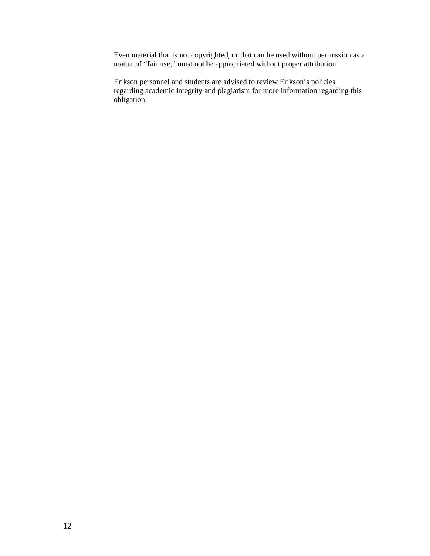Even material that is not copyrighted, or that can be used without permission as a matter of "fair use," must not be appropriated without proper attribution.

Erikson personnel and students are advised to review Erikson's policies regarding academic integrity and plagiarism for more information regarding this obligation.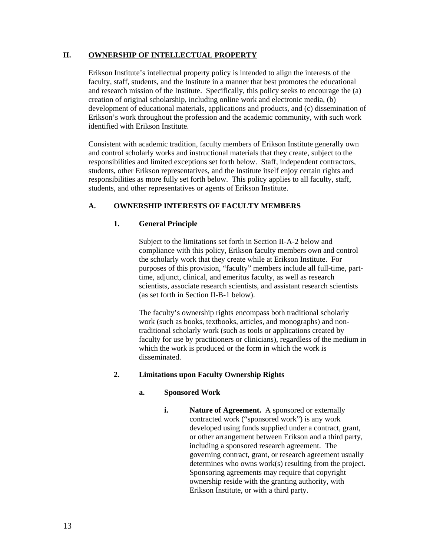# **II. OWNERSHIP OF INTELLECTUAL PROPERTY**

Erikson Institute's intellectual property policy is intended to align the interests of the faculty, staff, students, and the Institute in a manner that best promotes the educational and research mission of the Institute. Specifically, this policy seeks to encourage the (a) creation of original scholarship, including online work and electronic media, (b) development of educational materials, applications and products, and (c) dissemination of Erikson's work throughout the profession and the academic community, with such work identified with Erikson Institute.

Consistent with academic tradition, faculty members of Erikson Institute generally own and control scholarly works and instructional materials that they create, subject to the responsibilities and limited exceptions set forth below. Staff, independent contractors, students, other Erikson representatives, and the Institute itself enjoy certain rights and responsibilities as more fully set forth below. This policy applies to all faculty, staff, students, and other representatives or agents of Erikson Institute.

# **A. OWNERSHIP INTERESTS OF FACULTY MEMBERS**

# **1. General Principle**

Subject to the limitations set forth in Section II-A-2 below and compliance with this policy, Erikson faculty members own and control the scholarly work that they create while at Erikson Institute. For purposes of this provision, "faculty" members include all full-time, parttime, adjunct, clinical, and emeritus faculty, as well as research scientists, associate research scientists, and assistant research scientists (as set forth in Section II-B-1 below).

The faculty's ownership rights encompass both traditional scholarly work (such as books, textbooks, articles, and monographs) and nontraditional scholarly work (such as tools or applications created by faculty for use by practitioners or clinicians), regardless of the medium in which the work is produced or the form in which the work is disseminated.

# **2. Limitations upon Faculty Ownership Rights**

# **a. Sponsored Work**

**i. Nature of Agreement.** A sponsored or externally contracted work ("sponsored work") is any work developed using funds supplied under a contract, grant, or other arrangement between Erikson and a third party, including a sponsored research agreement. The governing contract, grant, or research agreement usually determines who owns work(s) resulting from the project. Sponsoring agreements may require that copyright ownership reside with the granting authority, with Erikson Institute, or with a third party.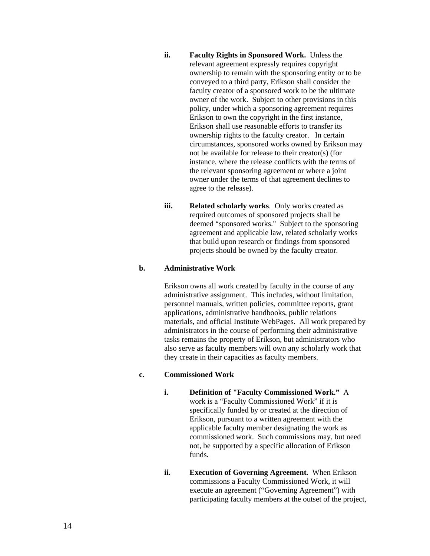- **ii. Faculty Rights in Sponsored Work.** Unless the relevant agreement expressly requires copyright ownership to remain with the sponsoring entity or to be conveyed to a third party, Erikson shall consider the faculty creator of a sponsored work to be the ultimate owner of the work. Subject to other provisions in this policy, under which a sponsoring agreement requires Erikson to own the copyright in the first instance, Erikson shall use reasonable efforts to transfer its ownership rights to the faculty creator. In certain circumstances, sponsored works owned by Erikson may not be available for release to their creator(s) (for instance, where the release conflicts with the terms of the relevant sponsoring agreement or where a joint owner under the terms of that agreement declines to agree to the release).
- **iii. Related scholarly works**. Only works created as required outcomes of sponsored projects shall be deemed "sponsored works." Subject to the sponsoring agreement and applicable law, related scholarly works that build upon research or findings from sponsored projects should be owned by the faculty creator.

# **b. Administrative Work**

Erikson owns all work created by faculty in the course of any administrative assignment. This includes, without limitation, personnel manuals, written policies, committee reports, grant applications, administrative handbooks, public relations materials, and official Institute WebPages. All work prepared by administrators in the course of performing their administrative tasks remains the property of Erikson, but administrators who also serve as faculty members will own any scholarly work that they create in their capacities as faculty members.

# **c. Commissioned Work**

- **i. Definition of "Faculty Commissioned Work."** A work is a "Faculty Commissioned Work" if it is specifically funded by or created at the direction of Erikson, pursuant to a written agreement with the applicable faculty member designating the work as commissioned work. Such commissions may, but need not, be supported by a specific allocation of Erikson funds.
- **ii. Execution of Governing Agreement.** When Erikson commissions a Faculty Commissioned Work, it will execute an agreement ("Governing Agreement") with participating faculty members at the outset of the project,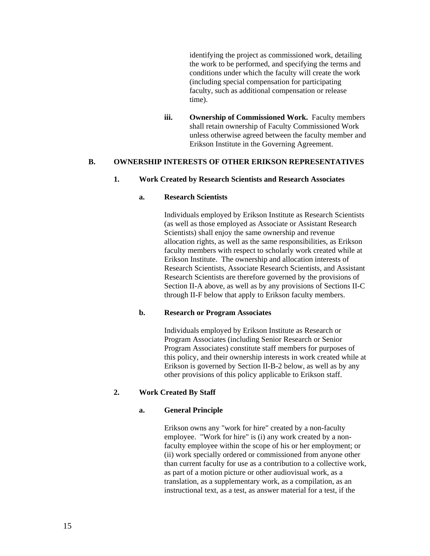identifying the project as commissioned work, detailing the work to be performed, and specifying the terms and conditions under which the faculty will create the work (including special compensation for participating faculty, such as additional compensation or release time).

**iii. Ownership of Commissioned Work.** Faculty members shall retain ownership of Faculty Commissioned Work unless otherwise agreed between the faculty member and Erikson Institute in the Governing Agreement.

# **B. OWNERSHIP INTERESTS OF OTHER ERIKSON REPRESENTATIVES**

#### **1. Work Created by Research Scientists and Research Associates**

# **a. Research Scientists**

Individuals employed by Erikson Institute as Research Scientists (as well as those employed as Associate or Assistant Research Scientists) shall enjoy the same ownership and revenue allocation rights, as well as the same responsibilities, as Erikson faculty members with respect to scholarly work created while at Erikson Institute. The ownership and allocation interests of Research Scientists, Associate Research Scientists, and Assistant Research Scientists are therefore governed by the provisions of Section II-A above, as well as by any provisions of Sections II-C through II-F below that apply to Erikson faculty members.

#### **b. Research or Program Associates**

Individuals employed by Erikson Institute as Research or Program Associates (including Senior Research or Senior Program Associates) constitute staff members for purposes of this policy, and their ownership interests in work created while at Erikson is governed by Section II-B-2 below, as well as by any other provisions of this policy applicable to Erikson staff.

# **2. Work Created By Staff**

#### **a. General Principle**

Erikson owns any "work for hire" created by a non-faculty employee. "Work for hire" is (i) any work created by a nonfaculty employee within the scope of his or her employment; or (ii) work specially ordered or commissioned from anyone other than current faculty for use as a contribution to a collective work, as part of a motion picture or other audiovisual work, as a translation, as a supplementary work, as a compilation, as an instructional text, as a test, as answer material for a test, if the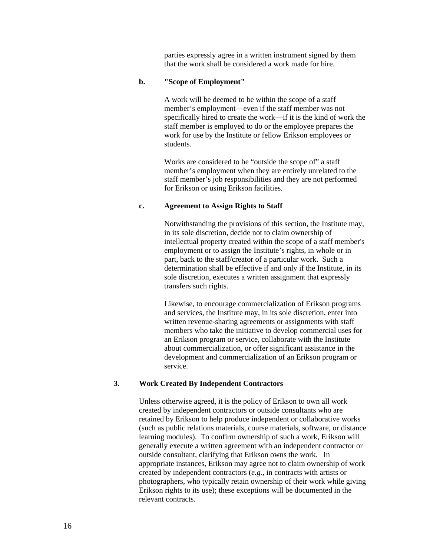parties expressly agree in a written instrument signed by them that the work shall be considered a work made for hire.

#### **b. "Scope of Employment"**

A work will be deemed to be within the scope of a staff member's employment—even if the staff member was not specifically hired to create the work—if it is the kind of work the staff member is employed to do or the employee prepares the work for use by the Institute or fellow Erikson employees or students.

Works are considered to be "outside the scope of" a staff member's employment when they are entirely unrelated to the staff member's job responsibilities and they are not performed for Erikson or using Erikson facilities.

#### **c. Agreement to Assign Rights to Staff**

Notwithstanding the provisions of this section, the Institute may, in its sole discretion, decide not to claim ownership of intellectual property created within the scope of a staff member's employment or to assign the Institute's rights, in whole or in part, back to the staff/creator of a particular work. Such a determination shall be effective if and only if the Institute, in its sole discretion, executes a written assignment that expressly transfers such rights.

Likewise, to encourage commercialization of Erikson programs and services, the Institute may, in its sole discretion, enter into written revenue-sharing agreements or assignments with staff members who take the initiative to develop commercial uses for an Erikson program or service, collaborate with the Institute about commercialization, or offer significant assistance in the development and commercialization of an Erikson program or service.

#### **3. Work Created By Independent Contractors**

Unless otherwise agreed, it is the policy of Erikson to own all work created by independent contractors or outside consultants who are retained by Erikson to help produce independent or collaborative works (such as public relations materials, course materials, software, or distance learning modules). To confirm ownership of such a work, Erikson will generally execute a written agreement with an independent contractor or outside consultant, clarifying that Erikson owns the work. In appropriate instances, Erikson may agree not to claim ownership of work created by independent contractors (*e.g.*, in contracts with artists or photographers, who typically retain ownership of their work while giving Erikson rights to its use); these exceptions will be documented in the relevant contracts.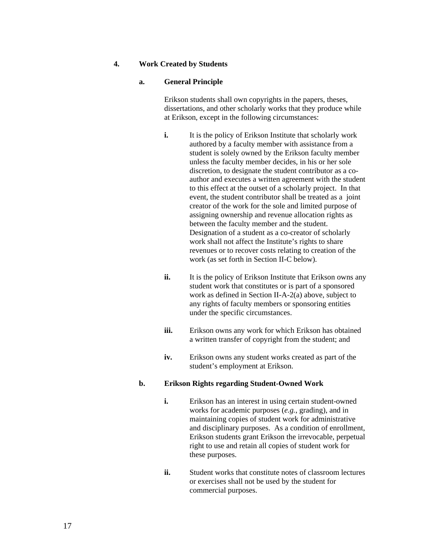# **4. Work Created by Students**

#### **a. General Principle**

Erikson students shall own copyrights in the papers, theses, dissertations, and other scholarly works that they produce while at Erikson, except in the following circumstances:

- **i.** It is the policy of Erikson Institute that scholarly work authored by a faculty member with assistance from a student is solely owned by the Erikson faculty member unless the faculty member decides, in his or her sole discretion, to designate the student contributor as a coauthor and executes a written agreement with the student to this effect at the outset of a scholarly project. In that event, the student contributor shall be treated as a joint creator of the work for the sole and limited purpose of assigning ownership and revenue allocation rights as between the faculty member and the student. Designation of a student as a co-creator of scholarly work shall not affect the Institute's rights to share revenues or to recover costs relating to creation of the work (as set forth in Section II-C below).
- **ii.** It is the policy of Erikson Institute that Erikson owns any student work that constitutes or is part of a sponsored work as defined in Section II-A-2(a) above, subject to any rights of faculty members or sponsoring entities under the specific circumstances.
- **iii.** Erikson owns any work for which Erikson has obtained a written transfer of copyright from the student; and
- **iv.** Erikson owns any student works created as part of the student's employment at Erikson.

#### **b. Erikson Rights regarding Student-Owned Work**

- **i.** Erikson has an interest in using certain student-owned works for academic purposes (*e.g.*, grading), and in maintaining copies of student work for administrative and disciplinary purposes. As a condition of enrollment, Erikson students grant Erikson the irrevocable, perpetual right to use and retain all copies of student work for these purposes.
- **ii.** Student works that constitute notes of classroom lectures or exercises shall not be used by the student for commercial purposes.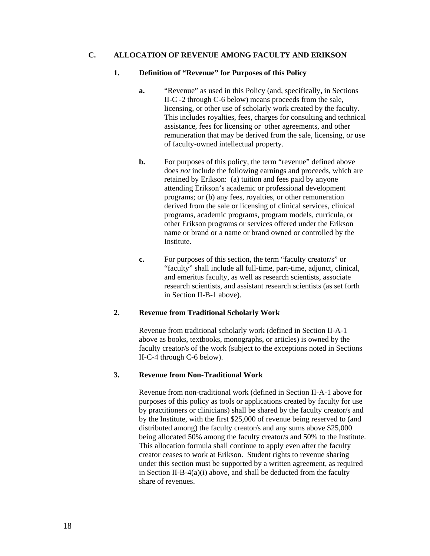# **C. ALLOCATION OF REVENUE AMONG FACULTY AND ERIKSON**

#### **1. Definition of "Revenue" for Purposes of this Policy**

- **a.** "Revenue" as used in this Policy (and, specifically, in Sections II-C -2 through C-6 below) means proceeds from the sale, licensing, or other use of scholarly work created by the faculty. This includes royalties, fees, charges for consulting and technical assistance, fees for licensing or other agreements, and other remuneration that may be derived from the sale, licensing, or use of faculty-owned intellectual property.
- **b.** For purposes of this policy, the term "revenue" defined above does *not* include the following earnings and proceeds, which are retained by Erikson: (a) tuition and fees paid by anyone attending Erikson's academic or professional development programs; or (b) any fees, royalties, or other remuneration derived from the sale or licensing of clinical services, clinical programs, academic programs, program models, curricula, or other Erikson programs or services offered under the Erikson name or brand or a name or brand owned or controlled by the Institute.
- **c.** For purposes of this section, the term "faculty creator/s" or "faculty" shall include all full-time, part-time, adjunct, clinical, and emeritus faculty, as well as research scientists, associate research scientists, and assistant research scientists (as set forth in Section II-B-1 above).

# **2. Revenue from Traditional Scholarly Work**

Revenue from traditional scholarly work (defined in Section II-A-1 above as books, textbooks, monographs, or articles) is owned by the faculty creator/s of the work (subject to the exceptions noted in Sections II-C-4 through C-6 below).

# **3. Revenue from Non-Traditional Work**

 Revenue from non-traditional work (defined in Section II-A-1 above for purposes of this policy as tools or applications created by faculty for use by practitioners or clinicians) shall be shared by the faculty creator/s and by the Institute, with the first \$25,000 of revenue being reserved to (and distributed among) the faculty creator/s and any sums above \$25,000 being allocated 50% among the faculty creator/s and 50% to the Institute. This allocation formula shall continue to apply even after the faculty creator ceases to work at Erikson. Student rights to revenue sharing under this section must be supported by a written agreement, as required in Section II-B-4(a)(i) above, and shall be deducted from the faculty share of revenues.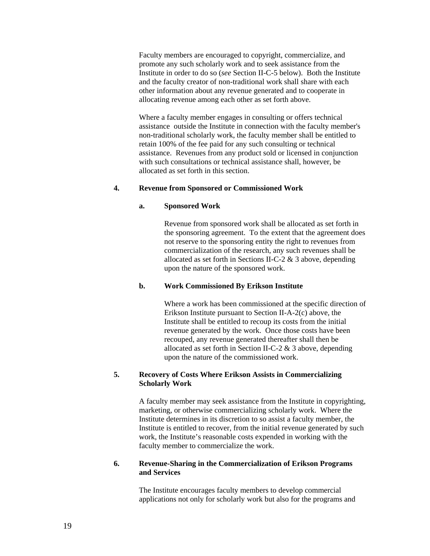Faculty members are encouraged to copyright, commercialize, and promote any such scholarly work and to seek assistance from the Institute in order to do so (*see* Section II-C-5 below). Both the Institute and the faculty creator of non-traditional work shall share with each other information about any revenue generated and to cooperate in allocating revenue among each other as set forth above.

 Where a faculty member engages in consulting or offers technical assistance outside the Institute in connection with the faculty member's non-traditional scholarly work, the faculty member shall be entitled to retain 100% of the fee paid for any such consulting or technical assistance. Revenues from any product sold or licensed in conjunction with such consultations or technical assistance shall, however, be allocated as set forth in this section.

#### **4. Revenue from Sponsored or Commissioned Work**

#### **a. Sponsored Work**

Revenue from sponsored work shall be allocated as set forth in the sponsoring agreement. To the extent that the agreement does not reserve to the sponsoring entity the right to revenues from commercialization of the research, any such revenues shall be allocated as set forth in Sections II-C-2  $\&$  3 above, depending upon the nature of the sponsored work.

## **b. Work Commissioned By Erikson Institute**

Where a work has been commissioned at the specific direction of Erikson Institute pursuant to Section II-A-2(c) above, the Institute shall be entitled to recoup its costs from the initial revenue generated by the work. Once those costs have been recouped, any revenue generated thereafter shall then be allocated as set forth in Section II-C-2 & 3 above, depending upon the nature of the commissioned work.

# **5. Recovery of Costs Where Erikson Assists in Commercializing Scholarly Work**

 A faculty member may seek assistance from the Institute in copyrighting, marketing, or otherwise commercializing scholarly work. Where the Institute determines in its discretion to so assist a faculty member, the Institute is entitled to recover, from the initial revenue generated by such work, the Institute's reasonable costs expended in working with the faculty member to commercialize the work.

# **6. Revenue-Sharing in the Commercialization of Erikson Programs and Services**

 The Institute encourages faculty members to develop commercial applications not only for scholarly work but also for the programs and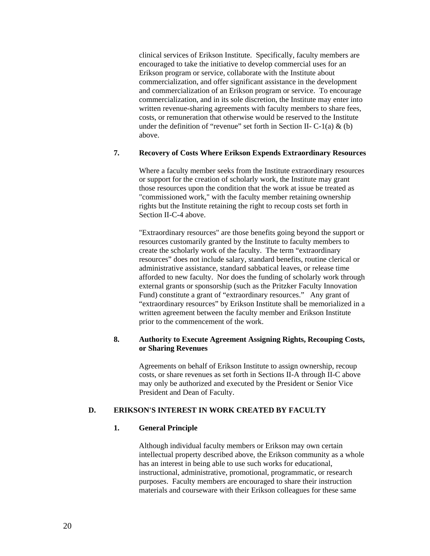clinical services of Erikson Institute. Specifically, faculty members are encouraged to take the initiative to develop commercial uses for an Erikson program or service, collaborate with the Institute about commercialization, and offer significant assistance in the development and commercialization of an Erikson program or service. To encourage commercialization, and in its sole discretion, the Institute may enter into written revenue-sharing agreements with faculty members to share fees, costs, or remuneration that otherwise would be reserved to the Institute under the definition of "revenue" set forth in Section II-  $C-1(a) \& (b)$ above.

# **7. Recovery of Costs Where Erikson Expends Extraordinary Resources**

Where a faculty member seeks from the Institute extraordinary resources or support for the creation of scholarly work, the Institute may grant those resources upon the condition that the work at issue be treated as "commissioned work," with the faculty member retaining ownership rights but the Institute retaining the right to recoup costs set forth in Section II-C-4 above.

"Extraordinary resources" are those benefits going beyond the support or resources customarily granted by the Institute to faculty members to create the scholarly work of the faculty. The term "extraordinary resources" does not include salary, standard benefits, routine clerical or administrative assistance, standard sabbatical leaves, or release time afforded to new faculty. Nor does the funding of scholarly work through external grants or sponsorship (such as the Pritzker Faculty Innovation Fund) constitute a grant of "extraordinary resources." Any grant of "extraordinary resources" by Erikson Institute shall be memorialized in a written agreement between the faculty member and Erikson Institute prior to the commencement of the work.

# **8. Authority to Execute Agreement Assigning Rights, Recouping Costs, or Sharing Revenues**

 Agreements on behalf of Erikson Institute to assign ownership, recoup costs, or share revenues as set forth in Sections II-A through II-C above may only be authorized and executed by the President or Senior Vice President and Dean of Faculty.

# **D. ERIKSON'S INTEREST IN WORK CREATED BY FACULTY**

# **1. General Principle**

Although individual faculty members or Erikson may own certain intellectual property described above, the Erikson community as a whole has an interest in being able to use such works for educational, instructional, administrative, promotional, programmatic, or research purposes. Faculty members are encouraged to share their instruction materials and courseware with their Erikson colleagues for these same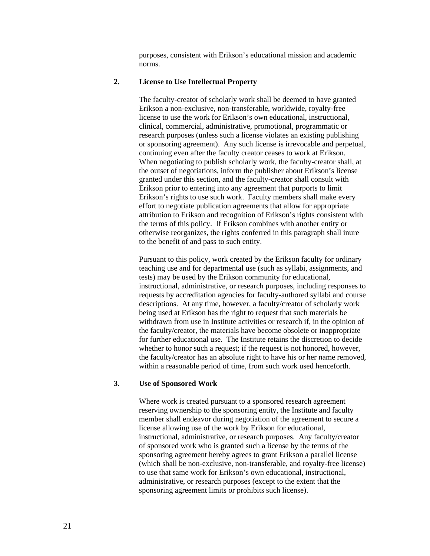purposes, consistent with Erikson's educational mission and academic norms.

# **2. License to Use Intellectual Property**

The faculty-creator of scholarly work shall be deemed to have granted Erikson a non-exclusive, non-transferable, worldwide, royalty-free license to use the work for Erikson's own educational, instructional, clinical, commercial, administrative, promotional, programmatic or research purposes (unless such a license violates an existing publishing or sponsoring agreement). Any such license is irrevocable and perpetual, continuing even after the faculty creator ceases to work at Erikson. When negotiating to publish scholarly work, the faculty-creator shall, at the outset of negotiations, inform the publisher about Erikson's license granted under this section, and the faculty-creator shall consult with Erikson prior to entering into any agreement that purports to limit Erikson's rights to use such work. Faculty members shall make every effort to negotiate publication agreements that allow for appropriate attribution to Erikson and recognition of Erikson's rights consistent with the terms of this policy. If Erikson combines with another entity or otherwise reorganizes, the rights conferred in this paragraph shall inure to the benefit of and pass to such entity.

Pursuant to this policy, work created by the Erikson faculty for ordinary teaching use and for departmental use (such as syllabi, assignments, and tests) may be used by the Erikson community for educational, instructional, administrative, or research purposes, including responses to requests by accreditation agencies for faculty-authored syllabi and course descriptions. At any time, however, a faculty/creator of scholarly work being used at Erikson has the right to request that such materials be withdrawn from use in Institute activities or research if, in the opinion of the faculty/creator, the materials have become obsolete or inappropriate for further educational use. The Institute retains the discretion to decide whether to honor such a request; if the request is not honored, however, the faculty/creator has an absolute right to have his or her name removed, within a reasonable period of time, from such work used henceforth.

#### **3. Use of Sponsored Work**

Where work is created pursuant to a sponsored research agreement reserving ownership to the sponsoring entity, the Institute and faculty member shall endeavor during negotiation of the agreement to secure a license allowing use of the work by Erikson for educational, instructional, administrative, or research purposes. Any faculty/creator of sponsored work who is granted such a license by the terms of the sponsoring agreement hereby agrees to grant Erikson a parallel license (which shall be non-exclusive, non-transferable, and royalty-free license) to use that same work for Erikson's own educational, instructional, administrative, or research purposes (except to the extent that the sponsoring agreement limits or prohibits such license).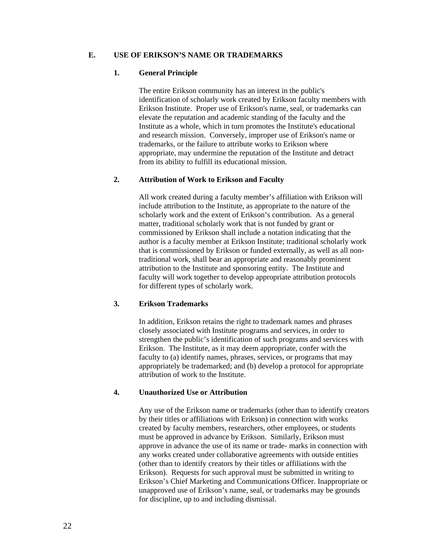#### **E. USE OF ERIKSON'S NAME OR TRADEMARKS**

#### **1. General Principle**

The entire Erikson community has an interest in the public's identification of scholarly work created by Erikson faculty members with Erikson Institute. Proper use of Erikson's name, seal, or trademarks can elevate the reputation and academic standing of the faculty and the Institute as a whole, which in turn promotes the Institute's educational and research mission. Conversely, improper use of Erikson's name or trademarks, or the failure to attribute works to Erikson where appropriate, may undermine the reputation of the Institute and detract from its ability to fulfill its educational mission.

# **2. Attribution of Work to Erikson and Faculty**

All work created during a faculty member's affiliation with Erikson will include attribution to the Institute, as appropriate to the nature of the scholarly work and the extent of Erikson's contribution. As a general matter, traditional scholarly work that is not funded by grant or commissioned by Erikson shall include a notation indicating that the author is a faculty member at Erikson Institute; traditional scholarly work that is commissioned by Erikson or funded externally, as well as all nontraditional work, shall bear an appropriate and reasonably prominent attribution to the Institute and sponsoring entity. The Institute and faculty will work together to develop appropriate attribution protocols for different types of scholarly work.

# **3. Erikson Trademarks**

In addition, Erikson retains the right to trademark names and phrases closely associated with Institute programs and services, in order to strengthen the public's identification of such programs and services with Erikson. The Institute, as it may deem appropriate, confer with the faculty to (a) identify names, phrases, services, or programs that may appropriately be trademarked; and (b) develop a protocol for appropriate attribution of work to the Institute.

# **4. Unauthorized Use or Attribution**

Any use of the Erikson name or trademarks (other than to identify creators by their titles or affiliations with Erikson) in connection with works created by faculty members, researchers, other employees, or students must be approved in advance by Erikson. Similarly, Erikson must approve in advance the use of its name or trade- marks in connection with any works created under collaborative agreements with outside entities (other than to identify creators by their titles or affiliations with the Erikson). Requests for such approval must be submitted in writing to Erikson's Chief Marketing and Communications Officer. Inappropriate or unapproved use of Erikson's name, seal, or trademarks may be grounds for discipline, up to and including dismissal.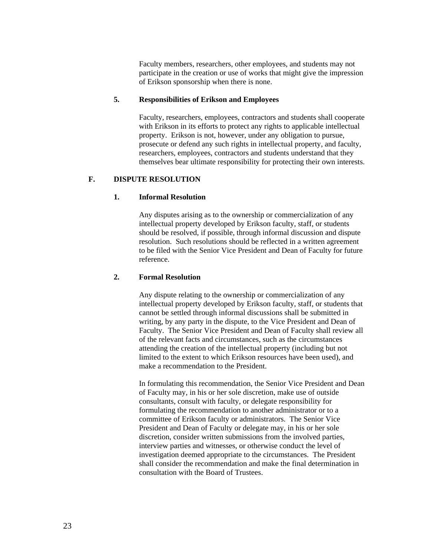Faculty members, researchers, other employees, and students may not participate in the creation or use of works that might give the impression of Erikson sponsorship when there is none.

# **5. Responsibilities of Erikson and Employees**

Faculty, researchers, employees, contractors and students shall cooperate with Erikson in its efforts to protect any rights to applicable intellectual property. Erikson is not, however, under any obligation to pursue, prosecute or defend any such rights in intellectual property, and faculty, researchers, employees, contractors and students understand that they themselves bear ultimate responsibility for protecting their own interests.

# **F. DISPUTE RESOLUTION**

# **1. Informal Resolution**

Any disputes arising as to the ownership or commercialization of any intellectual property developed by Erikson faculty, staff, or students should be resolved, if possible, through informal discussion and dispute resolution. Such resolutions should be reflected in a written agreement to be filed with the Senior Vice President and Dean of Faculty for future reference.

# **2. Formal Resolution**

Any dispute relating to the ownership or commercialization of any intellectual property developed by Erikson faculty, staff, or students that cannot be settled through informal discussions shall be submitted in writing, by any party in the dispute, to the Vice President and Dean of Faculty. The Senior Vice President and Dean of Faculty shall review all of the relevant facts and circumstances, such as the circumstances attending the creation of the intellectual property (including but not limited to the extent to which Erikson resources have been used), and make a recommendation to the President.

In formulating this recommendation, the Senior Vice President and Dean of Faculty may, in his or her sole discretion, make use of outside consultants, consult with faculty, or delegate responsibility for formulating the recommendation to another administrator or to a committee of Erikson faculty or administrators. The Senior Vice President and Dean of Faculty or delegate may, in his or her sole discretion, consider written submissions from the involved parties, interview parties and witnesses, or otherwise conduct the level of investigation deemed appropriate to the circumstances. The President shall consider the recommendation and make the final determination in consultation with the Board of Trustees.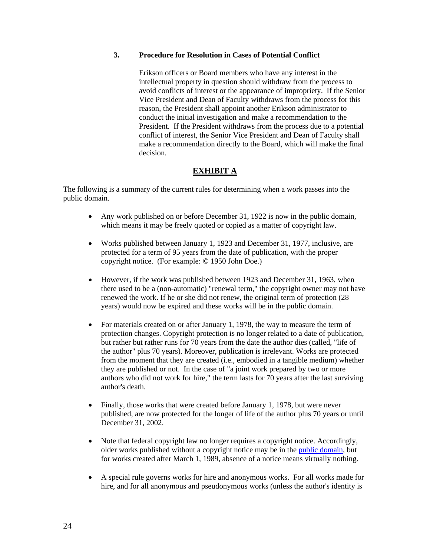# **3. Procedure for Resolution in Cases of Potential Conflict**

Erikson officers or Board members who have any interest in the intellectual property in question should withdraw from the process to avoid conflicts of interest or the appearance of impropriety. If the Senior Vice President and Dean of Faculty withdraws from the process for this reason, the President shall appoint another Erikson administrator to conduct the initial investigation and make a recommendation to the President. If the President withdraws from the process due to a potential conflict of interest, the Senior Vice President and Dean of Faculty shall make a recommendation directly to the Board, which will make the final decision.

# **EXHIBIT A**

The following is a summary of the current rules for determining when a work passes into the public domain.

- Any work published on or before December 31, 1922 is now in the public domain, which means it may be freely quoted or copied as a matter of copyright law.
- Works published between January 1, 1923 and December 31, 1977, inclusive, are protected for a term of 95 years from the date of publication, with the proper copyright notice. (For example: © 1950 John Doe.)
- However, if the work was published between 1923 and December 31, 1963, when there used to be a (non-automatic) "renewal term," the copyright owner may not have renewed the work. If he or she did not renew, the original term of protection (28 years) would now be expired and these works will be in the public domain.
- For materials created on or after January 1, 1978, the way to measure the term of protection changes. Copyright protection is no longer related to a date of publication, but rather but rather runs for 70 years from the date the author dies (called, "life of the author" plus 70 years). Moreover, publication is irrelevant. Works are protected from the moment that they are created (i.e., embodied in a tangible medium) whether they are published or not. In the case of "a joint work prepared by two or more authors who did not work for hire," the term lasts for 70 years after the last surviving author's death.
- Finally, those works that were created before January 1, 1978, but were never published, are now protected for the longer of life of the author plus 70 years or until December 31, 2002.
- Note that federal copyright law no longer requires a copyright notice. Accordingly, older works published without a copyright notice may be in the public domain, but for works created after March 1, 1989, absence of a notice means virtually nothing.
- A special rule governs works for hire and anonymous works. For all works made for hire, and for all anonymous and pseudonymous works (unless the author's identity is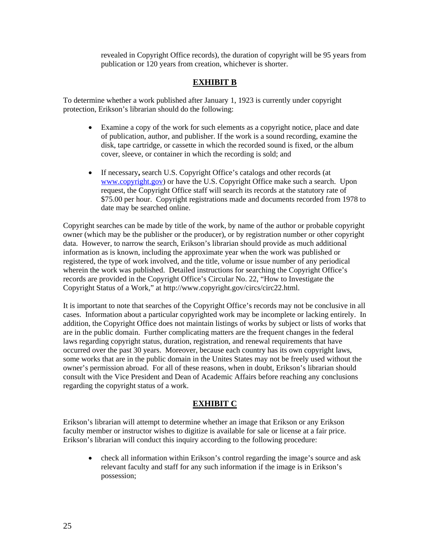revealed in Copyright Office records), the duration of copyright will be 95 years from publication or 120 years from creation, whichever is shorter.

# **EXHIBIT B**

To determine whether a work published after January 1, 1923 is currently under copyright protection, Erikson's librarian should do the following:

- Examine a copy of the work for such elements as a copyright notice, place and date of publication, author, and publisher. If the work is a sound recording, examine the disk, tape cartridge, or cassette in which the recorded sound is fixed, or the album cover, sleeve, or container in which the recording is sold; and
- If necessary**,** search U.S. Copyright Office's catalogs and other records (at www.copyright.gov) or have the U.S. Copyright Office make such a search. Upon request, the Copyright Office staff will search its records at the statutory rate of \$75.00 per hour. Copyright registrations made and documents recorded from 1978 to date may be searched online.

Copyright searches can be made by title of the work, by name of the author or probable copyright owner (which may be the publisher or the producer), or by registration number or other copyright data. However, to narrow the search, Erikson's librarian should provide as much additional information as is known, including the approximate year when the work was published or registered, the type of work involved, and the title, volume or issue number of any periodical wherein the work was published. Detailed instructions for searching the Copyright Office's records are provided in the Copyright Office's Circular No. 22, "How to Investigate the Copyright Status of a Work," at http://www.copyright.gov/circs/circ22.html.

It is important to note that searches of the Copyright Office's records may not be conclusive in all cases.Information about a particular copyrighted work may be incomplete or lacking entirely. In addition, the Copyright Office does not maintain listings of works by subject or lists of works that are in the public domain. Further complicating matters are the frequent changes in the federal laws regarding copyright status, duration, registration, and renewal requirements that have occurred over the past 30 years. Moreover, because each country has its own copyright laws, some works that are in the public domain in the Unites States may not be freely used without the owner's permission abroad. For all of these reasons, when in doubt, Erikson's librarian should consult with the Vice President and Dean of Academic Affairs before reaching any conclusions regarding the copyright status of a work.

# **EXHIBIT C**

Erikson's librarian will attempt to determine whether an image that Erikson or any Erikson faculty member or instructor wishes to digitize is available for sale or license at a fair price. Erikson's librarian will conduct this inquiry according to the following procedure:

• check all information within Erikson's control regarding the image's source and ask relevant faculty and staff for any such information if the image is in Erikson's possession;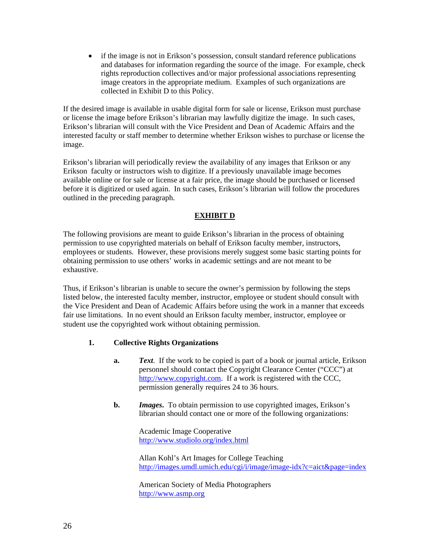• if the image is not in Erikson's possession, consult standard reference publications and databases for information regarding the source of the image. For example, check rights reproduction collectives and/or major professional associations representing image creators in the appropriate medium. Examples of such organizations are collected in Exhibit D to this Policy.

If the desired image is available in usable digital form for sale or license, Erikson must purchase or license the image before Erikson's librarian may lawfully digitize the image. In such cases, Erikson's librarian will consult with the Vice President and Dean of Academic Affairs and the interested faculty or staff member to determine whether Erikson wishes to purchase or license the image.

Erikson's librarian will periodically review the availability of any images that Erikson or any Erikson faculty or instructors wish to digitize. If a previously unavailable image becomes available online or for sale or license at a fair price, the image should be purchased or licensed before it is digitized or used again. In such cases, Erikson's librarian will follow the procedures outlined in the preceding paragraph.

# **EXHIBIT D**

The following provisions are meant to guide Erikson's librarian in the process of obtaining permission to use copyrighted materials on behalf of Erikson faculty member, instructors, employees or students. However, these provisions merely suggest some basic starting points for obtaining permission to use others' works in academic settings and are not meant to be exhaustive.

Thus, if Erikson's librarian is unable to secure the owner's permission by following the steps listed below, the interested faculty member, instructor, employee or student should consult with the Vice President and Dean of Academic Affairs before using the work in a manner that exceeds fair use limitations. In no event should an Erikson faculty member, instructor, employee or student use the copyrighted work without obtaining permission.

# **1. Collective Rights Organizations**

- **a.** *Text*. If the work to be copied is part of a book or journal article, Erikson personnel should contact the Copyright Clearance Center ("CCC") at http://www.copyright.com. If a work is registered with the CCC, permission generally requires 24 to 36 hours.
- **b.** *Images***.** To obtain permission to use copyrighted images, Erikson's librarian should contact one or more of the following organizations:

Academic Image Cooperative http://www.studiolo.org/index.html

Allan Kohl's Art Images for College Teaching http://images.umdl.umich.edu/cgi/i/image/image-idx?c=aict&page=index

American Society of Media Photographers http://www.asmp.org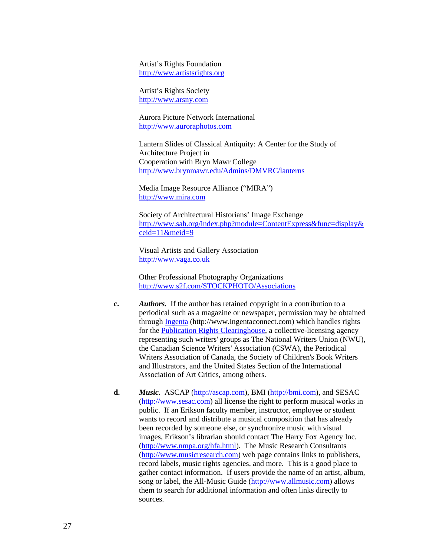Artist's Rights Foundation http://www.artistsrights.org

Artist's Rights Society http://www.arsny.com

Aurora Picture Network International http://www.auroraphotos.com

Lantern Slides of Classical Antiquity: A Center for the Study of Architecture Project in Cooperation with Bryn Mawr College http://www.brynmawr.edu/Admins/DMVRC/lanterns

Media Image Resource Alliance ("MIRA") http://www.mira.com

Society of Architectural Historians' Image Exchange http://www.sah.org/index.php?module=ContentExpress&func=display& ceid=11&meid=9

Visual Artists and Gallery Association http://www.vaga.co.uk

Other Professional Photography Organizations http://www.s2f.com/STOCKPHOTO/Associations

- **c.** *Authors.* If the author has retained copyright in a contribution to a periodical such as a magazine or newspaper, permission may be obtained through Ingenta (http://www.ingentaconnect.com) which handles rights for the Publication Rights Clearinghouse, a collective-licensing agency representing such writers' groups as The National Writers Union (NWU), the Canadian Science Writers' Association (CSWA), the Periodical Writers Association of Canada, the Society of Children's Book Writers and Illustrators, and the United States Section of the International Association of Art Critics, among others.
- **d.** *Music.* ASCAP (http://ascap.com), BMI (http://bmi.com), and SESAC (http://www.sesac.com) all license the right to perform musical works in public. If an Erikson faculty member, instructor, employee or student wants to record and distribute a musical composition that has already been recorded by someone else, or synchronize music with visual images, Erikson's librarian should contact The Harry Fox Agency Inc. (http://www.nmpa.org/hfa.html). The Music Research Consultants (http://www.musicresearch.com) web page contains links to publishers, record labels, music rights agencies, and more. This is a good place to gather contact information. If users provide the name of an artist, album, song or label, the All-Music Guide (http://www.allmusic.com) allows them to search for additional information and often links directly to sources.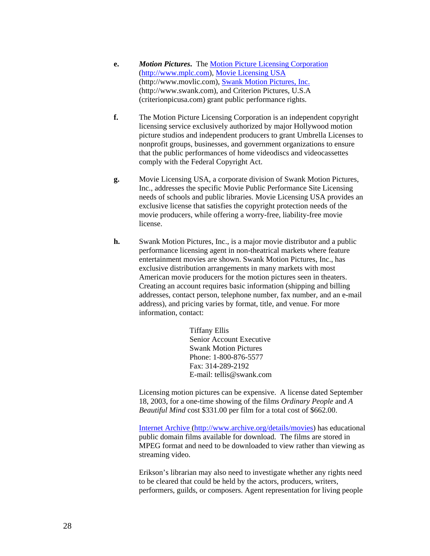- **e.** *Motion Pictures***.** The Motion Picture Licensing Corporation (http://www.mplc.com), Movie Licensing USA (http://www.movlic.com), Swank Motion Pictures, Inc. (http://www.swank.com), and Criterion Pictures, U.S.A (criterionpicusa.com) grant public performance rights.
- **f.** The Motion Picture Licensing Corporation is an independent copyright licensing service exclusively authorized by major Hollywood motion picture studios and independent producers to grant Umbrella Licenses to nonprofit groups, businesses, and government organizations to ensure that the public performances of home videodiscs and videocassettes comply with the Federal Copyright Act.
- **g.** Movie Licensing USA, a corporate division of Swank Motion Pictures, Inc., addresses the specific Movie Public Performance Site Licensing needs of schools and public libraries. Movie Licensing USA provides an exclusive license that satisfies the copyright protection needs of the movie producers, while offering a worry-free, liability-free movie license.
- **h.** Swank Motion Pictures, Inc., is a major movie distributor and a public performance licensing agent in non-theatrical markets where feature entertainment movies are shown. Swank Motion Pictures, Inc., has exclusive distribution arrangements in many markets with most American movie producers for the motion pictures seen in theaters. Creating an account requires basic information (shipping and billing addresses, contact person, telephone number, fax number, and an e-mail address), and pricing varies by format, title, and venue. For more information, contact:

Tiffany Ellis Senior Account Executive Swank Motion Pictures Phone: 1-800-876-5577 Fax: 314-289-2192 E-mail: tellis@swank.com

Licensing motion pictures can be expensive. A license dated September 18, 2003, for a one-time showing of the films *Ordinary People* and *A Beautiful Mind* cost \$331.00 per film for a total cost of \$662.00.

Internet Archive (http://www.archive.org/details/movies) has educational public domain films available for download. The films are stored in MPEG format and need to be downloaded to view rather than viewing as streaming video.

Erikson's librarian may also need to investigate whether any rights need to be cleared that could be held by the actors, producers, writers, performers, guilds, or composers. Agent representation for living people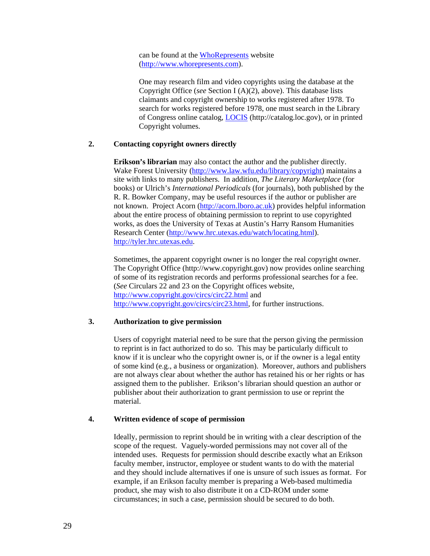can be found at the WhoRepresents website (http://www.whorepresents.com).

One may research film and video copyrights using the database at the Copyright Office (*see* Section I (A)(2), above). This database lists claimants and copyright ownership to works registered after 1978. To search for works registered before 1978, one must search in the Library of Congress online catalog, LOCIS (http://catalog.loc.gov), or in printed Copyright volumes.

# **2. Contacting copyright owners directly**

**Erikson's librarian** may also contact the author and the publisher directly. Wake Forest University (http://www.law.wfu.edu/library/copyright) maintains a site with links to many publishers. In addition, *The Literary Marketplace* (for books) or Ulrich's *International Periodicals* (for journals), both published by the R. R. Bowker Company, may be useful resources if the author or publisher are not known. Project Acorn (http://acorn.lboro.ac.uk) provides helpful information about the entire process of obtaining permission to reprint to use copyrighted works, as does the University of Texas at Austin's Harry Ransom Humanities Research Center (http://www.hrc.utexas.edu/watch/locating.html). http://tyler.hrc.utexas.edu.

Sometimes, the apparent copyright owner is no longer the real copyright owner. The Copyright Office (http://www.copyright.gov) now provides online searching of some of its registration records and performs professional searches for a fee. (*See* Circulars 22 and 23 on the Copyright offices website, http://www.copyright.gov/circs/circ22.html and http://www.copyright.gov/circs/circ23.html, for further instructions.

# **3. Authorization to give permission**

Users of copyright material need to be sure that the person giving the permission to reprint is in fact authorized to do so. This may be particularly difficult to know if it is unclear who the copyright owner is, or if the owner is a legal entity of some kind (e.g., a business or organization). Moreover, authors and publishers are not always clear about whether the author has retained his or her rights or has assigned them to the publisher. Erikson's librarian should question an author or publisher about their authorization to grant permission to use or reprint the material.

# **4. Written evidence of scope of permission**

Ideally, permission to reprint should be in writing with a clear description of the scope of the request. Vaguely-worded permissions may not cover all of the intended uses. Requests for permission should describe exactly what an Erikson faculty member, instructor, employee or student wants to do with the material and they should include alternatives if one is unsure of such issues as format. For example, if an Erikson faculty member is preparing a Web-based multimedia product, she may wish to also distribute it on a CD-ROM under some circumstances; in such a case, permission should be secured to do both.